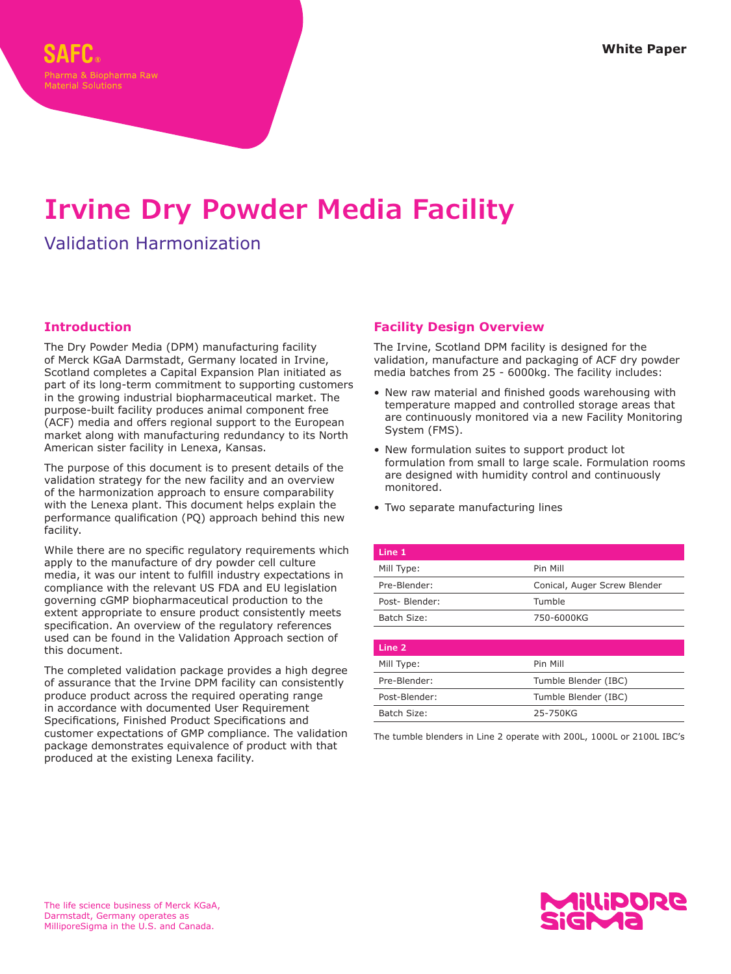# **Irvine Dry Powder Media Facility**

## Validation Harmonization

## **Introduction**

The Dry Powder Media (DPM) manufacturing facility of Merck KGaA Darmstadt, Germany located in Irvine, Scotland completes a Capital Expansion Plan initiated as part of its long-term commitment to supporting customers in the growing industrial biopharmaceutical market. The purpose-built facility produces animal component free (ACF) media and offers regional support to the European market along with manufacturing redundancy to its North American sister facility in Lenexa, Kansas.

The purpose of this document is to present details of the validation strategy for the new facility and an overview of the harmonization approach to ensure comparability with the Lenexa plant. This document helps explain the performance qualification (PQ) approach behind this new facility.

While there are no specific regulatory requirements which apply to the manufacture of dry powder cell culture media, it was our intent to fulfill industry expectations in compliance with the relevant US FDA and EU legislation governing cGMP biopharmaceutical production to the extent appropriate to ensure product consistently meets specification. An overview of the regulatory references used can be found in the Validation Approach section of this document.

The completed validation package provides a high degree of assurance that the Irvine DPM facility can consistently produce product across the required operating range in accordance with documented User Requirement Specifications, Finished Product Specifications and customer expectations of GMP compliance. The validation package demonstrates equivalence of product with that produced at the existing Lenexa facility.

#### **Facility Design Overview**

The Irvine, Scotland DPM facility is designed for the validation, manufacture and packaging of ACF dry powder media batches from 25 - 6000kg. The facility includes:

- New raw material and finished goods warehousing with temperature mapped and controlled storage areas that are continuously monitored via a new Facility Monitoring System (FMS).
- New formulation suites to support product lot formulation from small to large scale. Formulation rooms are designed with humidity control and continuously monitored.
- Two separate manufacturing lines

| Line 1        |                              |
|---------------|------------------------------|
| Mill Type:    | Pin Mill                     |
| Pre-Blender:  | Conical, Auger Screw Blender |
| Post-Blender: | Tumble                       |
| Batch Size:   | 750-6000KG                   |
|               |                              |

| Line 2        |                      |
|---------------|----------------------|
| Mill Type:    | Pin Mill             |
| Pre-Blender:  | Tumble Blender (IBC) |
| Post-Blender: | Tumble Blender (IBC) |
| Batch Size:   | 25-750KG             |
|               |                      |

The tumble blenders in Line 2 operate with 200L, 1000L or 2100L IBC's

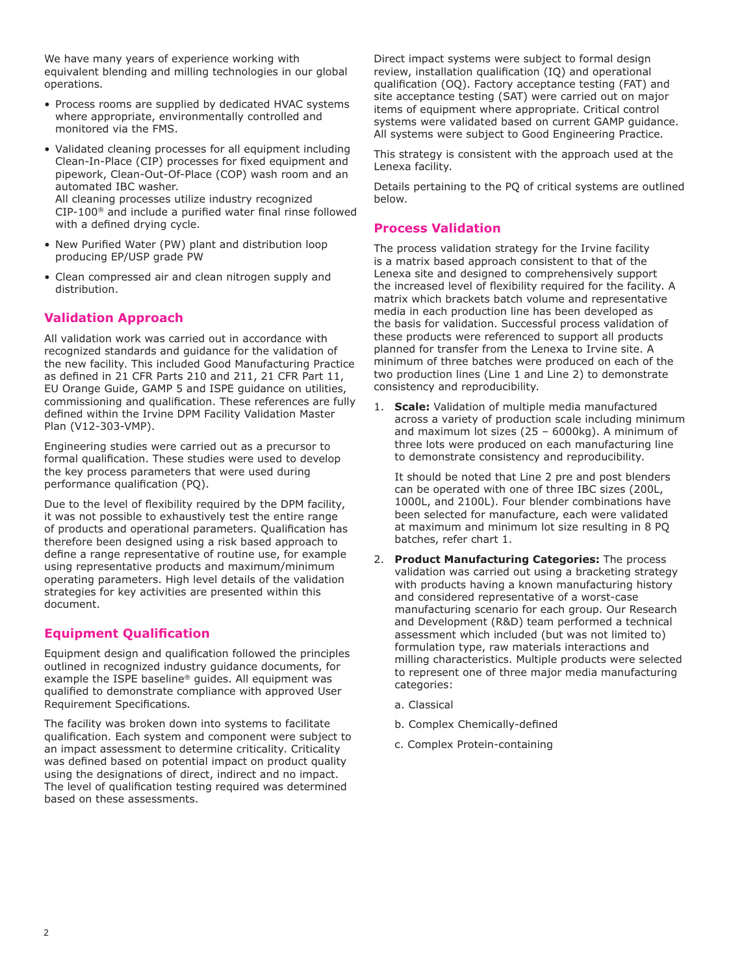We have many years of experience working with equivalent blending and milling technologies in our global operations.

- Process rooms are supplied by dedicated HVAC systems where appropriate, environmentally controlled and monitored via the FMS.
- Validated cleaning processes for all equipment including Clean-In-Place (CIP) processes for fixed equipment and pipework, Clean-Out-Of-Place (COP) wash room and an automated IBC washer. All cleaning processes utilize industry recognized

CIP-100® and include a purified water final rinse followed with a defined drying cycle.

- New Purified Water (PW) plant and distribution loop producing EP/USP grade PW
- Clean compressed air and clean nitrogen supply and distribution.

## **Validation Approach**

All validation work was carried out in accordance with recognized standards and guidance for the validation of the new facility. This included Good Manufacturing Practice as defined in 21 CFR Parts 210 and 211, 21 CFR Part 11, EU Orange Guide, GAMP 5 and ISPE guidance on utilities, commissioning and qualification. These references are fully defined within the Irvine DPM Facility Validation Master Plan (V12-303-VMP).

Engineering studies were carried out as a precursor to formal qualification. These studies were used to develop the key process parameters that were used during performance qualification (PQ).

Due to the level of flexibility required by the DPM facility, it was not possible to exhaustively test the entire range of products and operational parameters. Qualification has therefore been designed using a risk based approach to define a range representative of routine use, for example using representative products and maximum/minimum operating parameters. High level details of the validation strategies for key activities are presented within this document.

## **Equipment Qualification**

Equipment design and qualification followed the principles outlined in recognized industry guidance documents, for example the ISPE baseline® guides. All equipment was qualified to demonstrate compliance with approved User Requirement Specifications.

The facility was broken down into systems to facilitate qualification. Each system and component were subject to an impact assessment to determine criticality. Criticality was defined based on potential impact on product quality using the designations of direct, indirect and no impact. The level of qualification testing required was determined based on these assessments.

Direct impact systems were subject to formal design review, installation qualification (IQ) and operational qualification (OQ). Factory acceptance testing (FAT) and site acceptance testing (SAT) were carried out on major items of equipment where appropriate. Critical control systems were validated based on current GAMP guidance. All systems were subject to Good Engineering Practice.

This strategy is consistent with the approach used at the Lenexa facility.

Details pertaining to the PQ of critical systems are outlined below.

## **Process Validation**

The process validation strategy for the Irvine facility is a matrix based approach consistent to that of the Lenexa site and designed to comprehensively support the increased level of flexibility required for the facility. A matrix which brackets batch volume and representative media in each production line has been developed as the basis for validation. Successful process validation of these products were referenced to support all products planned for transfer from the Lenexa to Irvine site. A minimum of three batches were produced on each of the two production lines (Line 1 and Line 2) to demonstrate consistency and reproducibility.

1. **Scale:** Validation of multiple media manufactured across a variety of production scale including minimum and maximum lot sizes (25 – 6000kg). A minimum of three lots were produced on each manufacturing line to demonstrate consistency and reproducibility.

It should be noted that Line 2 pre and post blenders can be operated with one of three IBC sizes (200L, 1000L, and 2100L). Four blender combinations have been selected for manufacture, each were validated at maximum and minimum lot size resulting in 8 PQ batches, refer chart 1.

- 2. **Product Manufacturing Categories:** The process validation was carried out using a bracketing strategy with products having a known manufacturing history and considered representative of a worst-case manufacturing scenario for each group. Our Research and Development (R&D) team performed a technical assessment which included (but was not limited to) formulation type, raw materials interactions and milling characteristics. Multiple products were selected to represent one of three major media manufacturing categories:
	- a. Classical
	- b. Complex Chemically-defined
	- c. Complex Protein-containing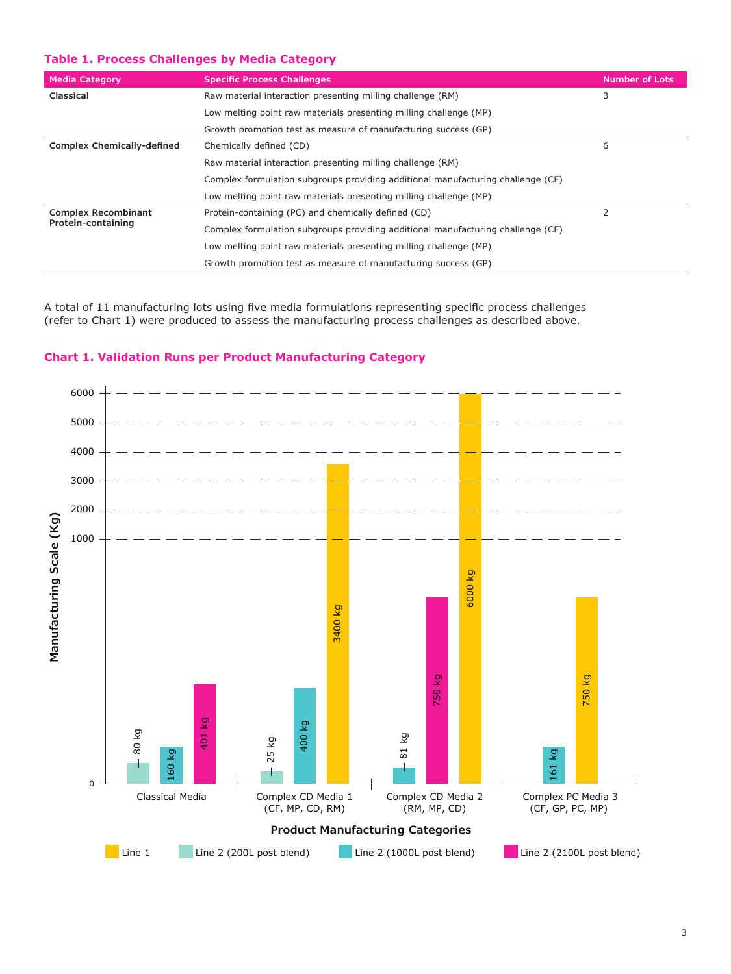## **Table 1. Process Challenges by Media Category**

| <b>Media Category</b>             | <b>Specific Process Challenges</b>                                              | <b>Number of Lots</b> |  |  |
|-----------------------------------|---------------------------------------------------------------------------------|-----------------------|--|--|
| Classical                         | Raw material interaction presenting milling challenge (RM)                      | 3                     |  |  |
|                                   | Low melting point raw materials presenting milling challenge (MP)               |                       |  |  |
|                                   | Growth promotion test as measure of manufacturing success (GP)                  |                       |  |  |
| <b>Complex Chemically-defined</b> | Chemically defined (CD)                                                         | 6                     |  |  |
|                                   | Raw material interaction presenting milling challenge (RM)                      |                       |  |  |
|                                   | Complex formulation subgroups providing additional manufacturing challenge (CF) |                       |  |  |
|                                   | Low melting point raw materials presenting milling challenge (MP)               |                       |  |  |
| <b>Complex Recombinant</b>        | Protein-containing (PC) and chemically defined (CD)                             | $\overline{2}$        |  |  |
| Protein-containing                | Complex formulation subgroups providing additional manufacturing challenge (CF) |                       |  |  |
|                                   | Low melting point raw materials presenting milling challenge (MP)               |                       |  |  |
|                                   | Growth promotion test as measure of manufacturing success (GP)                  |                       |  |  |

A total of 11 manufacturing lots using five media formulations representing specific process challenges (refer to Chart 1) were produced to assess the manufacturing process challenges as described above.



#### **Chart 1. Validation Runs per Product Manufacturing Category**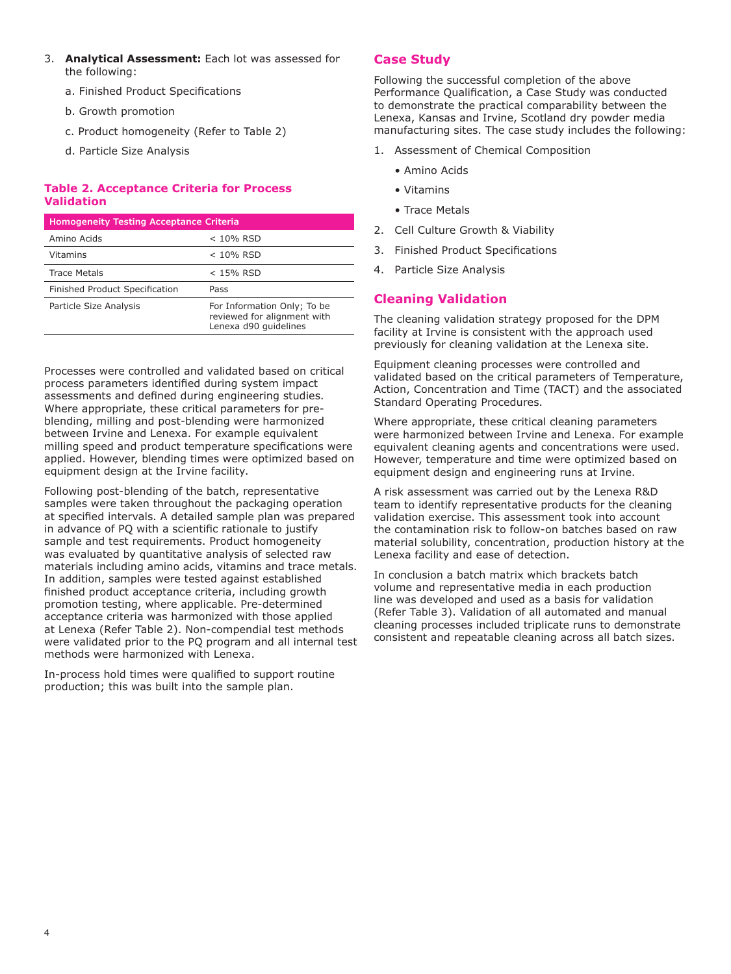- 3. **Analytical Assessment:** Each lot was assessed for the following:
	- a. Finished Product Specifications
	- b. Growth promotion
	- c. Product homogeneity (Refer to Table 2)
	- d. Particle Size Analysis

## **Table 2. Acceptance Criteria for Process Validation**

#### **Homogeneity Testing Acceptance Criteria**

| Amino Acids                    | $< 10\%$ RSD                                                                        |
|--------------------------------|-------------------------------------------------------------------------------------|
| <b>Vitamins</b>                | $< 10\%$ RSD                                                                        |
| <b>Trace Metals</b>            | $<$ 15% RSD                                                                         |
| Finished Product Specification | Pass                                                                                |
| Particle Size Analysis         | For Information Only; To be<br>reviewed for alignment with<br>Lenexa d90 quidelines |

Processes were controlled and validated based on critical process parameters identified during system impact assessments and defined during engineering studies. Where appropriate, these critical parameters for preblending, milling and post-blending were harmonized between Irvine and Lenexa. For example equivalent milling speed and product temperature specifications were applied. However, blending times were optimized based on equipment design at the Irvine facility.

Following post-blending of the batch, representative samples were taken throughout the packaging operation at specified intervals. A detailed sample plan was prepared in advance of PQ with a scientific rationale to justify sample and test requirements. Product homogeneity was evaluated by quantitative analysis of selected raw materials including amino acids, vitamins and trace metals. In addition, samples were tested against established finished product acceptance criteria, including growth promotion testing, where applicable. Pre-determined acceptance criteria was harmonized with those applied at Lenexa (Refer Table 2). Non-compendial test methods were validated prior to the PQ program and all internal test methods were harmonized with Lenexa.

In-process hold times were qualified to support routine production; this was built into the sample plan.

## **Case Study**

Following the successful completion of the above Performance Qualification, a Case Study was conducted to demonstrate the practical comparability between the Lenexa, Kansas and Irvine, Scotland dry powder media manufacturing sites. The case study includes the following:

- 1. Assessment of Chemical Composition
	- Amino Acids
	- Vitamins
	- Trace Metals
- 2. Cell Culture Growth & Viability
- 3. Finished Product Specifications
- 4. Particle Size Analysis

## **Cleaning Validation**

The cleaning validation strategy proposed for the DPM facility at Irvine is consistent with the approach used previously for cleaning validation at the Lenexa site.

Equipment cleaning processes were controlled and validated based on the critical parameters of Temperature, Action, Concentration and Time (TACT) and the associated Standard Operating Procedures.

Where appropriate, these critical cleaning parameters were harmonized between Irvine and Lenexa. For example equivalent cleaning agents and concentrations were used. However, temperature and time were optimized based on equipment design and engineering runs at Irvine.

A risk assessment was carried out by the Lenexa R&D team to identify representative products for the cleaning validation exercise. This assessment took into account the contamination risk to follow-on batches based on raw material solubility, concentration, production history at the Lenexa facility and ease of detection.

In conclusion a batch matrix which brackets batch volume and representative media in each production line was developed and used as a basis for validation (Refer Table 3). Validation of all automated and manual cleaning processes included triplicate runs to demonstrate consistent and repeatable cleaning across all batch sizes.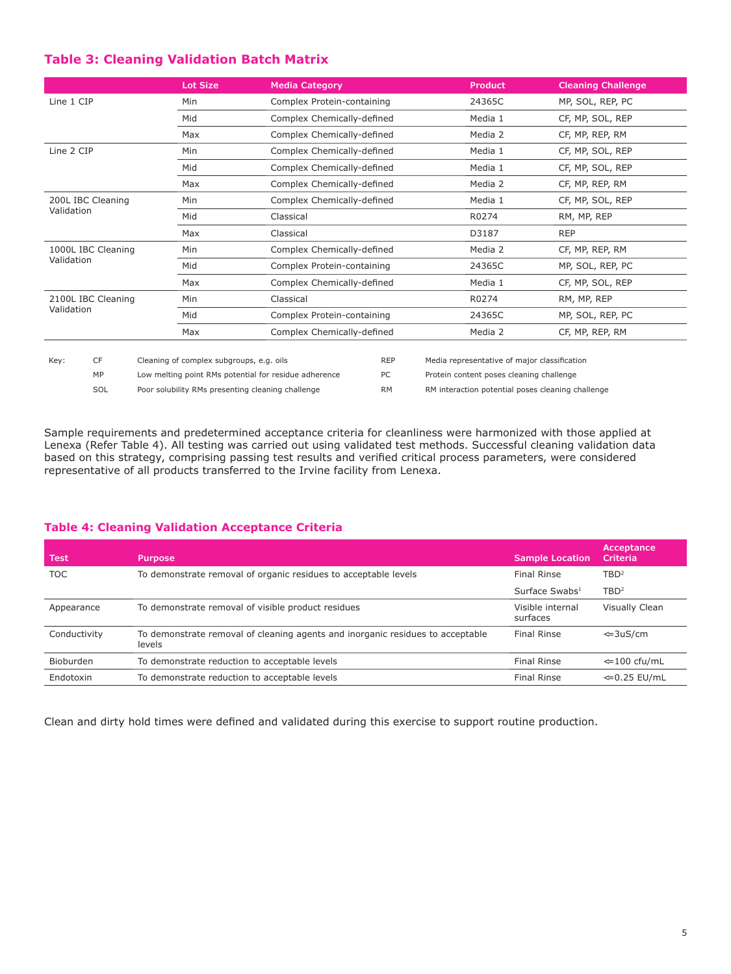## **Table 3: Cleaning Validation Batch Matrix**

|                                 |                    |                                                       | <b>Lot Size</b>                          | <b>Media Category</b>                             |                                       | <b>Product</b>                                    | <b>Cleaning Challenge</b> |  |
|---------------------------------|--------------------|-------------------------------------------------------|------------------------------------------|---------------------------------------------------|---------------------------------------|---------------------------------------------------|---------------------------|--|
| Line 1 CIP                      |                    |                                                       | Min                                      | Complex Protein-containing                        |                                       | 24365C                                            | MP, SOL, REP, PC          |  |
|                                 |                    |                                                       | Mid                                      |                                                   | Complex Chemically-defined            |                                                   | CF, MP, SOL, REP          |  |
|                                 |                    |                                                       | Max                                      | Complex Chemically-defined                        |                                       | Media 2                                           | CF, MP, REP, RM           |  |
| Line 2 CIP                      |                    |                                                       | Min                                      |                                                   | Media 1<br>Complex Chemically-defined |                                                   | CF, MP, SOL, REP          |  |
|                                 |                    |                                                       | Mid                                      | Complex Chemically-defined                        |                                       | CF, MP, SOL, REP                                  |                           |  |
|                                 |                    |                                                       | Max                                      | Complex Chemically-defined                        |                                       | Media 2                                           | CF, MP, REP, RM           |  |
| 200L IBC Cleaning<br>Validation |                    |                                                       | Min                                      | Complex Chemically-defined                        | Media 1                               |                                                   | CF, MP, SOL, REP          |  |
|                                 |                    |                                                       | Mid                                      | Classical                                         |                                       |                                                   | RM, MP, REP               |  |
|                                 |                    |                                                       | Max                                      | Classical                                         |                                       | D3187                                             | <b>REP</b>                |  |
| 1000L IBC Cleaning              |                    |                                                       | Min                                      |                                                   | Complex Chemically-defined            |                                                   | CF, MP, REP, RM           |  |
| Validation                      |                    |                                                       | Mid                                      | Complex Protein-containing                        |                                       | Media 2<br>24365C<br>MP, SOL, REP, PC             |                           |  |
|                                 |                    |                                                       | Max                                      | Complex Chemically-defined                        |                                       | Media 1                                           | CF, MP, SOL, REP          |  |
|                                 | 2100L IBC Cleaning |                                                       | Min                                      | Classical                                         |                                       | R0274<br>RM, MP, REP                              |                           |  |
| Validation                      |                    |                                                       | Mid                                      |                                                   | Complex Protein-containing<br>24365C  |                                                   | MP, SOL, REP, PC          |  |
|                                 |                    |                                                       | Max                                      |                                                   | Complex Chemically-defined            |                                                   | CF, MP, REP, RM           |  |
|                                 |                    |                                                       |                                          |                                                   |                                       |                                                   |                           |  |
| Key:                            | <b>CF</b>          |                                                       | Cleaning of complex subgroups, e.g. oils |                                                   | <b>REP</b>                            | Media representative of major classification      |                           |  |
|                                 | MP                 | Low melting point RMs potential for residue adherence |                                          |                                                   | PC                                    | Protein content poses cleaning challenge          |                           |  |
|                                 | SOL                |                                                       |                                          | Poor solubility RMs presenting cleaning challenge | <b>RM</b>                             | RM interaction potential poses cleaning challenge |                           |  |

Sample requirements and predetermined acceptance criteria for cleanliness were harmonized with those applied at Lenexa (Refer Table 4). All testing was carried out using validated test methods. Successful cleaning validation data based on this strategy, comprising passing test results and verified critical process parameters, were considered representative of all products transferred to the Irvine facility from Lenexa.

## **Table 4: Cleaning Validation Acceptance Criteria**

| <b>Test</b>  | <b>Purpose</b>                                                                           | <b>Sample Location</b>       | Acceptance<br>Criteria  |
|--------------|------------------------------------------------------------------------------------------|------------------------------|-------------------------|
| <b>TOC</b>   | To demonstrate removal of organic residues to acceptable levels                          | <b>Final Rinse</b>           | TBD <sup>2</sup>        |
|              |                                                                                          | Surface Swabs <sup>1</sup>   | TBD <sup>2</sup>        |
| Appearance   | To demonstrate removal of visible product residues                                       | Visible internal<br>surfaces | Visually Clean          |
| Conductivity | To demonstrate removal of cleaning agents and inorganic residues to acceptable<br>levels | Final Rinse                  | $\Leftarrow$ 3uS/cm     |
| Bioburden    | To demonstrate reduction to acceptable levels                                            | <b>Final Rinse</b>           | $\Leftarrow$ 100 cfu/mL |
| Endotoxin    | To demonstrate reduction to acceptable levels                                            | <b>Final Rinse</b>           | $\Leftarrow$ 0.25 EU/mL |

Clean and dirty hold times were defined and validated during this exercise to support routine production.